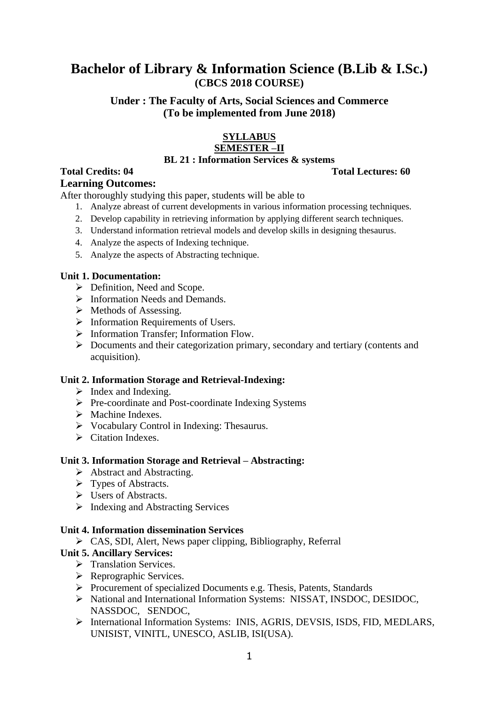# **Bachelor of Library & Information Science (B.Lib & I.Sc.) (CBCS 2018 COURSE)**

# **Under : The Faculty of Arts, Social Sciences and Commerce (To be implemented from June 2018)**

# **SYLLABUS**

# **SEMESTER –II**

#### **BL 21 : Information Services & systems**

#### **Total Credits: 04 Total Lectures: 60 Learning Outcomes:**

After thoroughly studying this paper, students will be able to

- 1. Analyze abreast of current developments in various information processing techniques.
- 2. Develop capability in retrieving information by applying different search techniques.
- 3. Understand information retrieval models and develop skills in designing thesaurus.
- 4. Analyze the aspects of Indexing technique.
- 5. Analyze the aspects of Abstracting technique.

### **Unit 1. Documentation:**

- $\triangleright$  Definition, Need and Scope.
- $\triangleright$  Information Needs and Demands.
- $\triangleright$  Methods of Assessing.
- $\triangleright$  Information Requirements of Users.
- > Information Transfer; Information Flow.
- Documents and their categorization primary, secondary and tertiary (contents and acquisition).

#### **Unit 2. Information Storage and Retrieval-Indexing:**

- $\triangleright$  Index and Indexing.
- $\triangleright$  Pre-coordinate and Post-coordinate Indexing Systems
- $\triangleright$  Machine Indexes.
- $\triangleright$  Vocabulary Control in Indexing: Thesaurus.
- $\triangleright$  Citation Indexes.

#### **Unit 3. Information Storage and Retrieval – Abstracting:**

- $\triangleright$  Abstracting.
- $\triangleright$  Types of Abstracts.
- Users of Abstracts.
- $\triangleright$  Indexing and Abstracting Services

# **Unit 4. Information dissemination Services**

CAS, SDI, Alert, News paper clipping, Bibliography, Referral

# **Unit 5. Ancillary Services:**

- > Translation Services.
- ▶ Reprographic Services.
- Procurement of specialized Documents e.g. Thesis, Patents, Standards
- > National and International Information Systems: NISSAT, INSDOC, DESIDOC, NASSDOC, SENDOC,
- International Information Systems: INIS, AGRIS, DEVSIS, ISDS, FID, MEDLARS, UNISIST, VINITL, UNESCO, ASLIB, ISI(USA).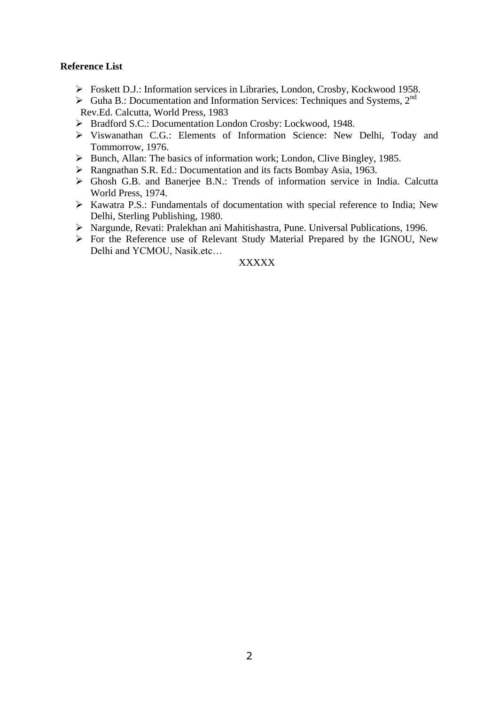#### **Reference List**

- Foskett D.J.: Information services in Libraries, London, Crosby, Kockwood 1958.
- $\triangleright$  Guha B.: Documentation and Information Services: Techniques and Systems, 2<sup>nd</sup> Rev.Ed. Calcutta, World Press, 1983
- ▶ Bradford S.C.: Documentation London Crosby: Lockwood, 1948.
- Viswanathan C.G.: Elements of Information Science: New Delhi, Today and Tommorrow, 1976.
- $\triangleright$  Bunch, Allan: The basics of information work; London, Clive Bingley, 1985.
- Rangnathan S.R. Ed.: Documentation and its facts Bombay Asia, 1963.
- Ghosh G.B. and Banerjee B.N.: Trends of information service in India. Calcutta World Press, 1974.
- $\triangleright$  Kawatra P.S.: Fundamentals of documentation with special reference to India; New Delhi, Sterling Publishing, 1980.
- Nargunde, Revati: Pralekhan ani Mahitishastra, Pune. Universal Publications, 1996.
- For the Reference use of Relevant Study Material Prepared by the IGNOU, New Delhi and YCMOU, Nasik.etc…

#### XXXXX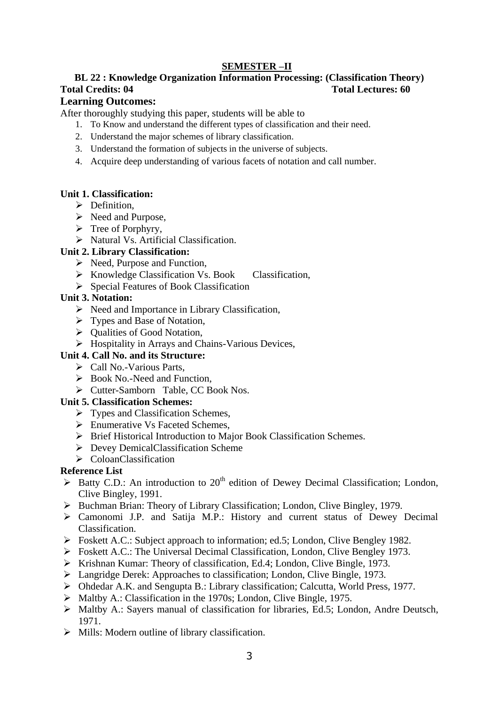# **BL 22 : Knowledge Organization Information Processing: (Classification Theory) Total Credits: 04 Total Lectures: 60**

#### **Learning Outcomes:**

After thoroughly studying this paper, students will be able to

- 1. To Know and understand the different types of classification and their need.
- 2. Understand the major schemes of library classification.
- 3. Understand the formation of subjects in the universe of subjects.
- 4. Acquire deep understanding of various facets of notation and call number.

#### **Unit 1. Classification:**

- $\triangleright$  Definition,
- $\triangleright$  Need and Purpose,
- $\triangleright$  Tree of Porphyry,
- > Natural Vs. Artificial Classification.

#### **Unit 2. Library Classification:**

- $\triangleright$  Need, Purpose and Function,
- ▶ Knowledge Classification Vs. Book Classification,
- $\triangleright$  Special Features of Book Classification

#### **Unit 3. Notation:**

- $\triangleright$  Need and Importance in Library Classification,
- Types and Base of Notation,
- $\triangleright$  Qualities of Good Notation,
- $\triangleright$  Hospitality in Arrays and Chains-Various Devices,

#### **Unit 4. Call No. and its Structure:**

- Call No.-Various Parts,
- $\triangleright$  Book No.-Need and Function.
- Cutter-Samborn Table, CC Book Nos.

#### **Unit 5. Classification Schemes:**

- $\triangleright$  Types and Classification Schemes,
- Enumerative Vs Faceted Schemes,
- Brief Historical Introduction to Major Book Classification Schemes.
- $\triangleright$  Devey DemicalClassification Scheme
- ColoanClassification

#### **Reference List**

- $\triangleright$  Batty C.D.: An introduction to 20<sup>th</sup> edition of Dewey Decimal Classification; London, Clive Bingley, 1991.
- Buchman Brian: Theory of Library Classification; London, Clive Bingley, 1979.
- Camonomi J.P. and Satija M.P.: History and current status of Dewey Decimal Classification.
- Foskett A.C.: Subject approach to information; ed.5; London, Clive Bengley 1982.
- Foskett A.C.: The Universal Decimal Classification, London, Clive Bengley 1973.
- $\triangleright$  Krishnan Kumar: Theory of classification, Ed.4; London, Clive Bingle, 1973.
- Langridge Derek: Approaches to classification; London, Clive Bingle, 1973.
- Ohdedar A.K. and Sengupta B.: Library classification; Calcutta, World Press, 1977.
- $\triangleright$  Maltby A.: Classification in the 1970s; London, Clive Bingle, 1975.
- Maltby A.: Sayers manual of classification for libraries, Ed.5; London, Andre Deutsch, 1971.
- $\triangleright$  Mills: Modern outline of library classification.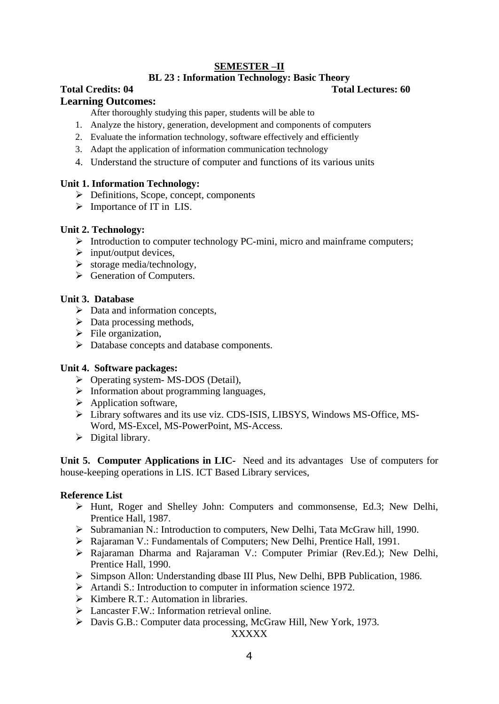#### **BL 23 : Information Technology: Basic Theory**

# **Total Credits: 04 Total Lectures: 60**

#### **Learning Outcomes:**

After thoroughly studying this paper, students will be able to

- 1. Analyze the history, generation, development and components of computers
- 2. Evaluate the information technology, software effectively and efficiently
- 3. Adapt the application of information communication technology
- 4. Understand the structure of computer and functions of its various units

### **Unit 1. Information Technology:**

- $\triangleright$  Definitions, Scope, concept, components
- $\triangleright$  Importance of IT in LIS.

### **Unit 2. Technology:**

- $\triangleright$  Introduction to computer technology PC-mini, micro and mainframe computers;
- $\triangleright$  input/output devices,
- $\triangleright$  storage media/technology,
- Seneration of Computers.

### **Unit 3. Database**

- $\triangleright$  Data and information concepts,
- $\triangleright$  Data processing methods,
- $\triangleright$  File organization,
- Database concepts and database components.

# **Unit 4. Software packages:**

- Operating system- MS-DOS (Detail),
- $\triangleright$  Information about programming languages,
- $\triangleright$  Application software,
- Library softwares and its use viz. CDS-ISIS, LIBSYS, Windows MS-Office, MS-Word, MS-Excel, MS-PowerPoint, MS-Access.
- $\triangleright$  Digital library.

**Unit 5. Computer Applications in LIC-** Need and its advantages Use of computers for house-keeping operations in LIS. ICT Based Library services,

# **Reference List**

- Hunt, Roger and Shelley John: Computers and commonsense, Ed.3; New Delhi, Prentice Hall, 1987.
- Subramanian N.: Introduction to computers, New Delhi, Tata McGraw hill, 1990.
- Rajaraman V.: Fundamentals of Computers; New Delhi, Prentice Hall, 1991.
- Rajaraman Dharma and Rajaraman V.: Computer Primiar (Rev.Ed.); New Delhi, Prentice Hall, 1990.
- Simpson Allon: Understanding dbase III Plus, New Delhi, BPB Publication, 1986.
- $\triangleright$  Artandi S.: Introduction to computer in information science 1972.
- $\triangleright$  Kimbere R.T.: Automation in libraries.
- $\triangleright$  Lancaster F.W.: Information retrieval online.
- Davis G.B.: Computer data processing, McGraw Hill, New York, 1973.

XXXXX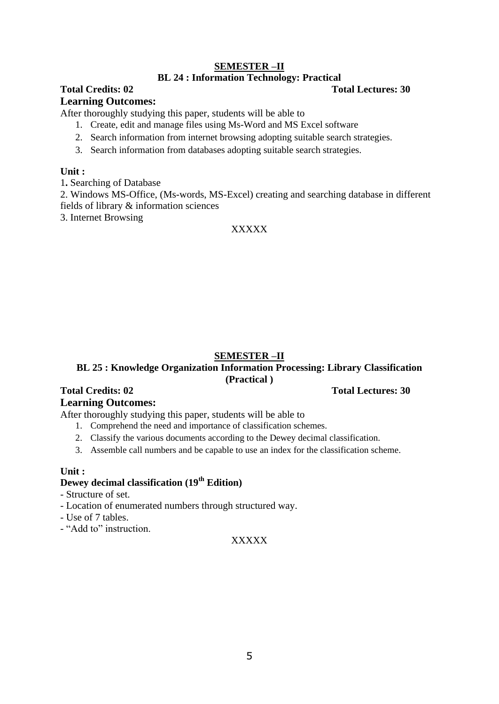#### **BL 24 : Information Technology: Practical**

# **Total Credits: 02 Total Lectures: 30**

### **Learning Outcomes:**

After thoroughly studying this paper, students will be able to

- 1. Create, edit and manage files using Ms-Word and MS Excel software
- 2. Search information from internet browsing adopting suitable search strategies.
- 3. Search information from databases adopting suitable search strategies.

#### **Unit :**

1**.** Searching of Database

2. Windows MS-Office, (Ms-words, MS-Excel) creating and searching database in different fields of library & information sciences

3. Internet Browsing

### XXXXX

# **SEMESTER –II**

### **BL 25 : Knowledge Organization Information Processing: Library Classification (Practical )**

# **Total Credits: 02 Total Lectures: 30**

#### **Learning Outcomes:**

After thoroughly studying this paper, students will be able to

- 1. Comprehend the need and importance of classification schemes.
- 2. Classify the various documents according to the Dewey decimal classification.
- 3. Assemble call numbers and be capable to use an index for the classification scheme.

#### **Unit :**

# **Dewey decimal classification (19th Edition)**

- Structure of set.

- Location of enumerated numbers through structured way.
- Use of 7 tables.
- "Add to" instruction.

#### XXXXX